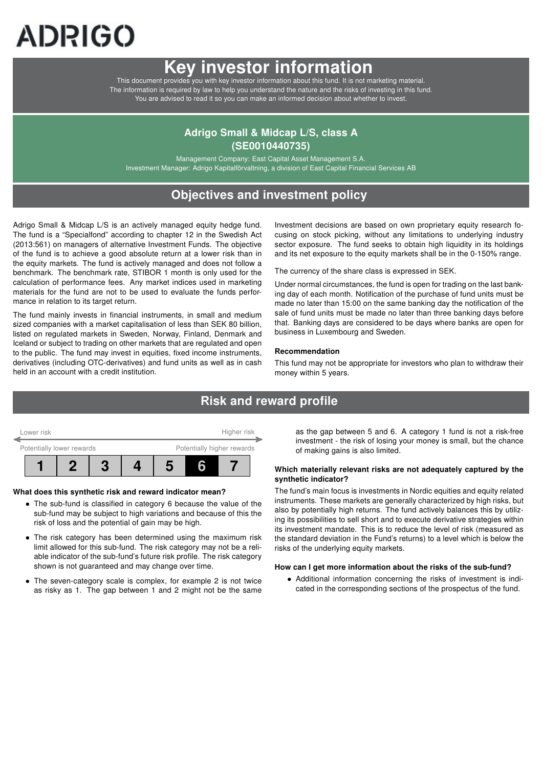# ADRIGO

## Key investor information

This document provides you with key investor information about this fund. It is not marketing material. The information is required by law to help you understand the nature and the risks of investing in this fund. You are advised to read it so you can make an informed decision about whether to invest.

## Adrigo Small & Midcap L/S, class A (SE0010440735)

Management Company: East Capital Asset Management S.A. Investment Manager: Adrigo Kapitalförvaltning, a division of East Capital Financial Services AB

## Objectives and investment policy

Adrigo Small & Midcap L/S is an actively managed equity hedge fund. The fund is a "Specialfond" according to chapter 12 in the Swedish Act (2013:561) on managers of alternative Investment Funds. The objective of the fund is to achieve a good absolute return at a lower risk than in the equity markets. The fund is actively managed and does not follow a benchmark. The benchmark rate, STIBOR 1 month is only used for the calculation of performance fees. Any market indices used in marketing materials for the fund are not to be used to evaluate the funds performance in relation to its target return.

The fund mainly invests in financial instruments, in small and medium sized companies with a market capitalisation of less than SEK 80 billion, listed on regulated markets in Sweden, Norway, Finland, Denmark and Iceland or subject to trading on other markets that are regulated and open to the public. The fund may invest in equities, fixed income instruments, derivatives (including OTC-derivatives) and fund units as well as in cash held in an account with a credit institution.

Investment decisions are based on own proprietary equity research focusing on stock picking, without any limitations to underlying industry sector exposure. The fund seeks to obtain high liquidity in its holdings and its net exposure to the equity markets shall be in the 0-150% range.

The currency of the share class is expressed in SEK.

Under normal circumstances, the fund is open for trading on the last banking day of each month. Notification of the purchase of fund units must be made no later than 15:00 on the same banking day the notification of the sale of fund units must be made no later than three banking days before that. Banking days are considered to be days where banks are open for business in Luxembourg and Sweden.

#### Recommendation

This fund may not be appropriate for investors who plan to withdraw their money within 5 years.

## Risk and reward profile



#### What does this synthetic risk and reward indicator mean?

- The sub-fund is classified in category 6 because the value of the sub-fund may be subject to high variations and because of this the risk of loss and the potential of gain may be high.
- The risk category has been determined using the maximum risk limit allowed for this sub-fund. The risk category may not be a reliable indicator of the sub-fund's future risk profile. The risk category shown is not guaranteed and may change over time.
- The seven-category scale is complex, for example 2 is not twice as risky as 1. The gap between 1 and 2 might not be the same

as the gap between 5 and 6. A category 1 fund is not a risk-free investment - the risk of losing your money is small, but the chance of making gains is also limited.

#### Which materially relevant risks are not adequately captured by the synthetic indicator?

The fund's main focus is investments in Nordic equities and equity related instruments. These markets are generally characterized by high risks, but also by potentially high returns. The fund actively balances this by utilizing its possibilities to sell short and to execute derivative strategies within its investment mandate. This is to reduce the level of risk (measured as the standard deviation in the Fund's returns) to a level which is below the risks of the underlying equity markets.

#### How can I get more information about the risks of the sub-fund?

• Additional information concerning the risks of investment is indicated in the corresponding sections of the prospectus of the fund.